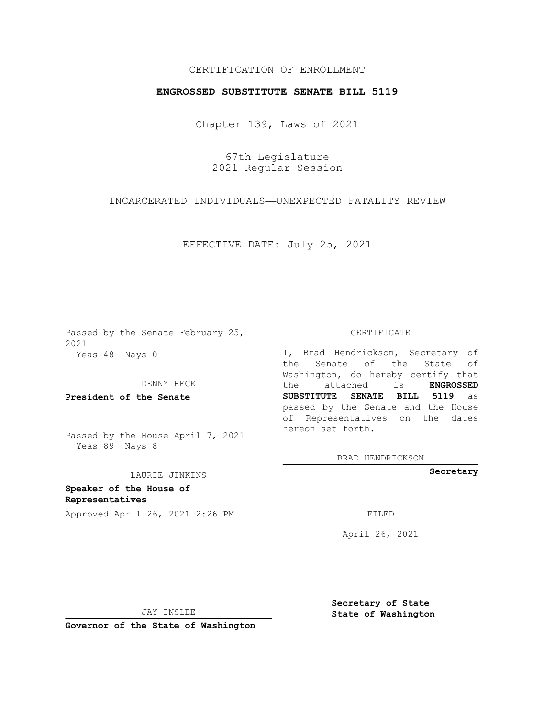# CERTIFICATION OF ENROLLMENT

### **ENGROSSED SUBSTITUTE SENATE BILL 5119**

Chapter 139, Laws of 2021

67th Legislature 2021 Regular Session

# INCARCERATED INDIVIDUALS—UNEXPECTED FATALITY REVIEW

EFFECTIVE DATE: July 25, 2021

Passed by the Senate February 25, 2021 Yeas 48 Nays 0

DENNY HECK

**President of the Senate**

Passed by the House April 7, 2021 Yeas 89 Nays 8

#### LAURIE JINKINS

**Speaker of the House of Representatives** Approved April 26, 2021 2:26 PM

CERTIFICATE

I, Brad Hendrickson, Secretary of the Senate of the State of Washington, do hereby certify that the attached is **ENGROSSED SUBSTITUTE SENATE BILL 5119** as passed by the Senate and the House of Representatives on the dates hereon set forth.

BRAD HENDRICKSON

**Secretary**

April 26, 2021

JAY INSLEE

**Governor of the State of Washington**

**Secretary of State State of Washington**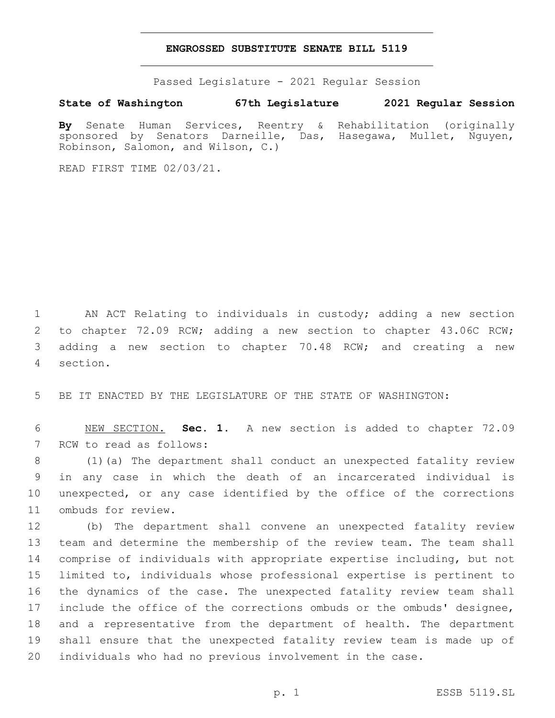#### **ENGROSSED SUBSTITUTE SENATE BILL 5119**

Passed Legislature - 2021 Regular Session

**State of Washington 67th Legislature 2021 Regular Session**

**By** Senate Human Services, Reentry & Rehabilitation (originally sponsored by Senators Darneille, Das, Hasegawa, Mullet, Nguyen, Robinson, Salomon, and Wilson, C.)

READ FIRST TIME 02/03/21.

 AN ACT Relating to individuals in custody; adding a new section to chapter 72.09 RCW; adding a new section to chapter 43.06C RCW; adding a new section to chapter 70.48 RCW; and creating a new section.4

BE IT ENACTED BY THE LEGISLATURE OF THE STATE OF WASHINGTON:

 NEW SECTION. **Sec. 1.** A new section is added to chapter 72.09 7 RCW to read as follows:

 (1)(a) The department shall conduct an unexpected fatality review in any case in which the death of an incarcerated individual is unexpected, or any case identified by the office of the corrections 11 ombuds for review.

 (b) The department shall convene an unexpected fatality review team and determine the membership of the review team. The team shall comprise of individuals with appropriate expertise including, but not limited to, individuals whose professional expertise is pertinent to the dynamics of the case. The unexpected fatality review team shall include the office of the corrections ombuds or the ombuds' designee, and a representative from the department of health. The department shall ensure that the unexpected fatality review team is made up of individuals who had no previous involvement in the case.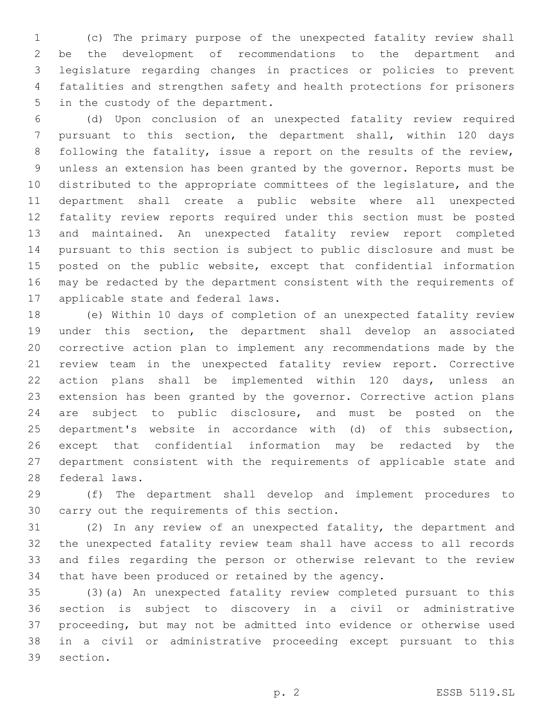(c) The primary purpose of the unexpected fatality review shall be the development of recommendations to the department and legislature regarding changes in practices or policies to prevent fatalities and strengthen safety and health protections for prisoners 5 in the custody of the department.

 (d) Upon conclusion of an unexpected fatality review required pursuant to this section, the department shall, within 120 days 8 following the fatality, issue a report on the results of the review, unless an extension has been granted by the governor. Reports must be distributed to the appropriate committees of the legislature, and the department shall create a public website where all unexpected fatality review reports required under this section must be posted and maintained. An unexpected fatality review report completed pursuant to this section is subject to public disclosure and must be posted on the public website, except that confidential information may be redacted by the department consistent with the requirements of 17 applicable state and federal laws.

 (e) Within 10 days of completion of an unexpected fatality review under this section, the department shall develop an associated corrective action plan to implement any recommendations made by the review team in the unexpected fatality review report. Corrective action plans shall be implemented within 120 days, unless an extension has been granted by the governor. Corrective action plans are subject to public disclosure, and must be posted on the department's website in accordance with (d) of this subsection, except that confidential information may be redacted by the department consistent with the requirements of applicable state and 28 federal laws.

 (f) The department shall develop and implement procedures to 30 carry out the requirements of this section.

 (2) In any review of an unexpected fatality, the department and the unexpected fatality review team shall have access to all records and files regarding the person or otherwise relevant to the review that have been produced or retained by the agency.

 (3)(a) An unexpected fatality review completed pursuant to this section is subject to discovery in a civil or administrative proceeding, but may not be admitted into evidence or otherwise used in a civil or administrative proceeding except pursuant to this 39 section.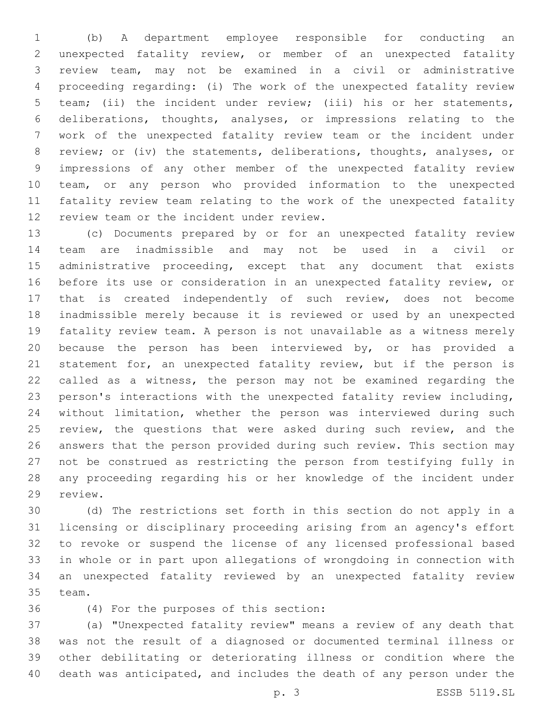(b) A department employee responsible for conducting an unexpected fatality review, or member of an unexpected fatality review team, may not be examined in a civil or administrative proceeding regarding: (i) The work of the unexpected fatality review team; (ii) the incident under review; (iii) his or her statements, deliberations, thoughts, analyses, or impressions relating to the work of the unexpected fatality review team or the incident under review; or (iv) the statements, deliberations, thoughts, analyses, or impressions of any other member of the unexpected fatality review team, or any person who provided information to the unexpected fatality review team relating to the work of the unexpected fatality 12 review team or the incident under review.

 (c) Documents prepared by or for an unexpected fatality review team are inadmissible and may not be used in a civil or administrative proceeding, except that any document that exists before its use or consideration in an unexpected fatality review, or that is created independently of such review, does not become inadmissible merely because it is reviewed or used by an unexpected fatality review team. A person is not unavailable as a witness merely because the person has been interviewed by, or has provided a statement for, an unexpected fatality review, but if the person is called as a witness, the person may not be examined regarding the person's interactions with the unexpected fatality review including, without limitation, whether the person was interviewed during such 25 review, the questions that were asked during such review, and the answers that the person provided during such review. This section may not be construed as restricting the person from testifying fully in any proceeding regarding his or her knowledge of the incident under 29 review.

 (d) The restrictions set forth in this section do not apply in a licensing or disciplinary proceeding arising from an agency's effort to revoke or suspend the license of any licensed professional based in whole or in part upon allegations of wrongdoing in connection with an unexpected fatality reviewed by an unexpected fatality review 35 team.

(4) For the purposes of this section:36

 (a) "Unexpected fatality review" means a review of any death that was not the result of a diagnosed or documented terminal illness or other debilitating or deteriorating illness or condition where the death was anticipated, and includes the death of any person under the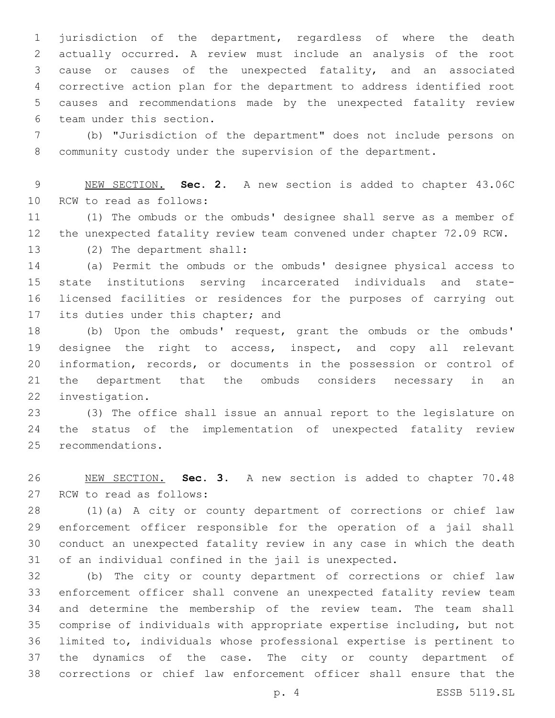jurisdiction of the department, regardless of where the death actually occurred. A review must include an analysis of the root cause or causes of the unexpected fatality, and an associated corrective action plan for the department to address identified root causes and recommendations made by the unexpected fatality review 6 team under this section.

 (b) "Jurisdiction of the department" does not include persons on community custody under the supervision of the department.

 NEW SECTION. **Sec. 2.** A new section is added to chapter 43.06C 10 RCW to read as follows:

 (1) The ombuds or the ombuds' designee shall serve as a member of the unexpected fatality review team convened under chapter 72.09 RCW. 13 (2) The department shall:

 (a) Permit the ombuds or the ombuds' designee physical access to state institutions serving incarcerated individuals and state- licensed facilities or residences for the purposes of carrying out 17 its duties under this chapter; and

 (b) Upon the ombuds' request, grant the ombuds or the ombuds' designee the right to access, inspect, and copy all relevant information, records, or documents in the possession or control of the department that the ombuds considers necessary in an 22 investigation.

 (3) The office shall issue an annual report to the legislature on the status of the implementation of unexpected fatality review 25 recommendations.

 NEW SECTION. **Sec. 3.** A new section is added to chapter 70.48 27 RCW to read as follows:

 (1)(a) A city or county department of corrections or chief law enforcement officer responsible for the operation of a jail shall conduct an unexpected fatality review in any case in which the death of an individual confined in the jail is unexpected.

 (b) The city or county department of corrections or chief law enforcement officer shall convene an unexpected fatality review team and determine the membership of the review team. The team shall comprise of individuals with appropriate expertise including, but not limited to, individuals whose professional expertise is pertinent to the dynamics of the case. The city or county department of corrections or chief law enforcement officer shall ensure that the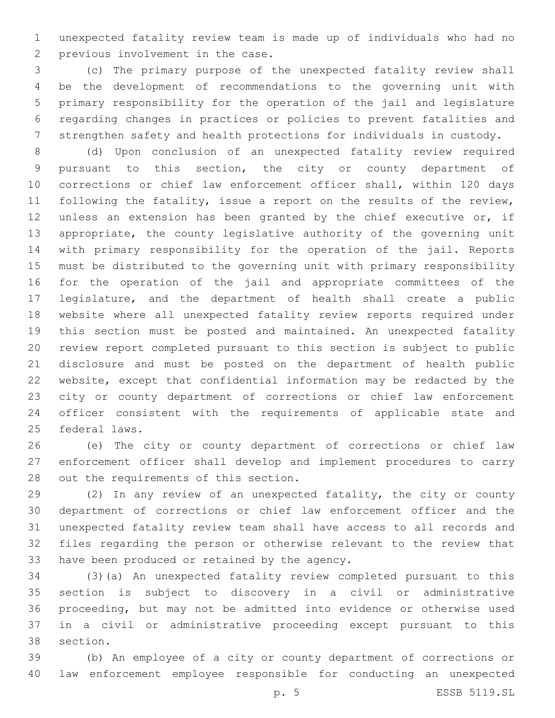unexpected fatality review team is made up of individuals who had no 2 previous involvement in the case.

 (c) The primary purpose of the unexpected fatality review shall be the development of recommendations to the governing unit with primary responsibility for the operation of the jail and legislature regarding changes in practices or policies to prevent fatalities and strengthen safety and health protections for individuals in custody.

 (d) Upon conclusion of an unexpected fatality review required pursuant to this section, the city or county department of corrections or chief law enforcement officer shall, within 120 days following the fatality, issue a report on the results of the review, 12 unless an extension has been granted by the chief executive or, if appropriate, the county legislative authority of the governing unit with primary responsibility for the operation of the jail. Reports must be distributed to the governing unit with primary responsibility for the operation of the jail and appropriate committees of the legislature, and the department of health shall create a public website where all unexpected fatality review reports required under this section must be posted and maintained. An unexpected fatality review report completed pursuant to this section is subject to public disclosure and must be posted on the department of health public website, except that confidential information may be redacted by the city or county department of corrections or chief law enforcement officer consistent with the requirements of applicable state and 25 federal laws.

 (e) The city or county department of corrections or chief law enforcement officer shall develop and implement procedures to carry 28 out the requirements of this section.

 (2) In any review of an unexpected fatality, the city or county department of corrections or chief law enforcement officer and the unexpected fatality review team shall have access to all records and files regarding the person or otherwise relevant to the review that 33 have been produced or retained by the agency.

 (3)(a) An unexpected fatality review completed pursuant to this section is subject to discovery in a civil or administrative proceeding, but may not be admitted into evidence or otherwise used in a civil or administrative proceeding except pursuant to this 38 section.

 (b) An employee of a city or county department of corrections or law enforcement employee responsible for conducting an unexpected

p. 5 ESSB 5119.SL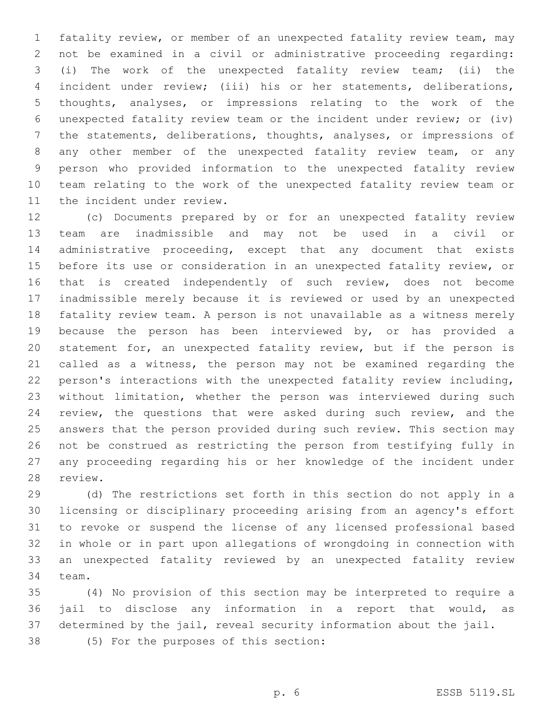fatality review, or member of an unexpected fatality review team, may not be examined in a civil or administrative proceeding regarding: (i) The work of the unexpected fatality review team; (ii) the incident under review; (iii) his or her statements, deliberations, thoughts, analyses, or impressions relating to the work of the unexpected fatality review team or the incident under review; or (iv) the statements, deliberations, thoughts, analyses, or impressions of any other member of the unexpected fatality review team, or any person who provided information to the unexpected fatality review team relating to the work of the unexpected fatality review team or 11 the incident under review.

 (c) Documents prepared by or for an unexpected fatality review team are inadmissible and may not be used in a civil or administrative proceeding, except that any document that exists before its use or consideration in an unexpected fatality review, or 16 that is created independently of such review, does not become inadmissible merely because it is reviewed or used by an unexpected fatality review team. A person is not unavailable as a witness merely because the person has been interviewed by, or has provided a statement for, an unexpected fatality review, but if the person is called as a witness, the person may not be examined regarding the person's interactions with the unexpected fatality review including, without limitation, whether the person was interviewed during such review, the questions that were asked during such review, and the answers that the person provided during such review. This section may not be construed as restricting the person from testifying fully in any proceeding regarding his or her knowledge of the incident under 28 review.

 (d) The restrictions set forth in this section do not apply in a licensing or disciplinary proceeding arising from an agency's effort to revoke or suspend the license of any licensed professional based in whole or in part upon allegations of wrongdoing in connection with an unexpected fatality reviewed by an unexpected fatality review 34 team.

 (4) No provision of this section may be interpreted to require a jail to disclose any information in a report that would, as determined by the jail, reveal security information about the jail.

(5) For the purposes of this section:38